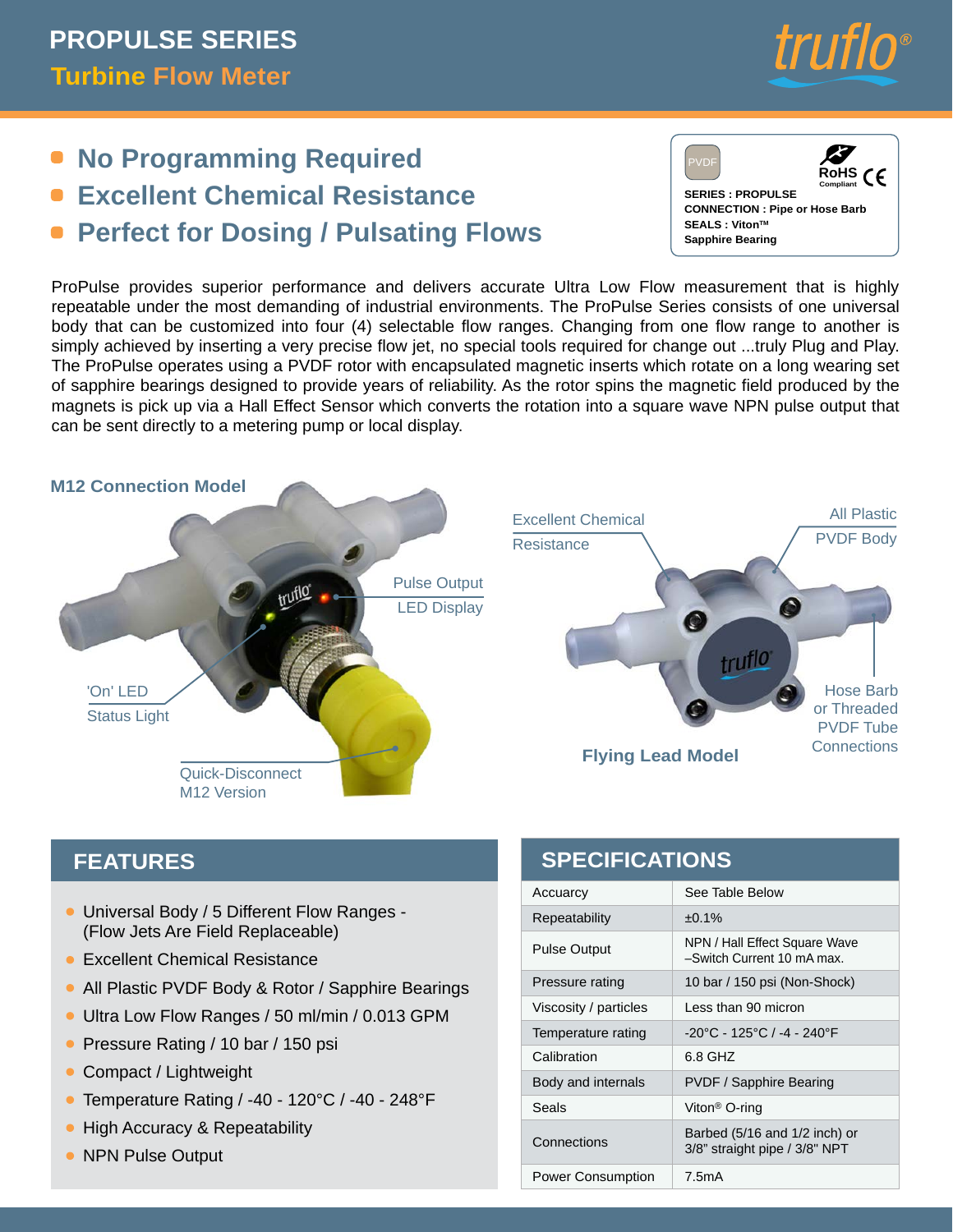

- **No Programming Required**
- **Excellent Chemical Resistance**  $\bullet$
- **Perfect for Dosing / Pulsating Flows**

PVDF **SERIES : PROPULSE CONNECTION : Pipe or Hose Barb SEALS : VitonTM Sapphire Bearing RoHS Compliant**

ProPulse provides superior performance and delivers accurate Ultra Low Flow measurement that is highly repeatable under the most demanding of industrial environments. The ProPulse Series consists of one universal body that can be customized into four (4) selectable flow ranges. Changing from one flow range to another is simply achieved by inserting a very precise flow jet, no special tools required for change out ...truly Plug and Play. The ProPulse operates using a PVDF rotor with encapsulated magnetic inserts which rotate on a long wearing set of sapphire bearings designed to provide years of reliability. As the rotor spins the magnetic field produced by the magnets is pick up via a Hall Effect Sensor which converts the rotation into a square wave NPN pulse output that can be sent directly to a metering pump or local display.

#### **M12 Connection Model** All Plastic Excellent Chemical PVDF Body **Resistance** Pulse Output truflo LED Display truflo 'On' LED Hose Barb or Threaded Status Light PVDF Tube **Connections Flying Lead Model** Quick-Disconnect M12 Version

## **FEATURES**

- Universal Body / 5 Different Flow Ranges -(Flow Jets Are Field Replaceable)
- **Excellent Chemical Resistance**
- All Plastic PVDF Body & Rotor / Sapphire Bearings
- Ultra Low Flow Ranges / 50 ml/min / 0.013 GPM
- Pressure Rating / 10 bar / 150 psi
- Compact / Lightweight
- Temperature Rating / -40 120°C / -40 248°F
- High Accuracy & Repeatability  $\bullet$
- NPN Pulse Output

# **SPECIFICATIONS**

| Accuarcy                 | See Table Below                                                |  |  |
|--------------------------|----------------------------------------------------------------|--|--|
| Repeatability            | $±0.1\%$                                                       |  |  |
| <b>Pulse Output</b>      | NPN / Hall Effect Square Wave<br>-Switch Current 10 mA max.    |  |  |
| Pressure rating          | 10 bar / 150 psi (Non-Shock)                                   |  |  |
| Viscosity / particles    | Less than 90 micron                                            |  |  |
| Temperature rating       | -20°C - 125°C / -4 - 240°F                                     |  |  |
| Calibration              | 6.8 GHZ                                                        |  |  |
| Body and internals       | <b>PVDF / Sapphire Bearing</b>                                 |  |  |
| Seals                    | Viton <sup>®</sup> O-ring                                      |  |  |
| Connections              | Barbed (5/16 and 1/2 inch) or<br>3/8" straight pipe / 3/8" NPT |  |  |
| <b>Power Consumption</b> | 7.5mA                                                          |  |  |